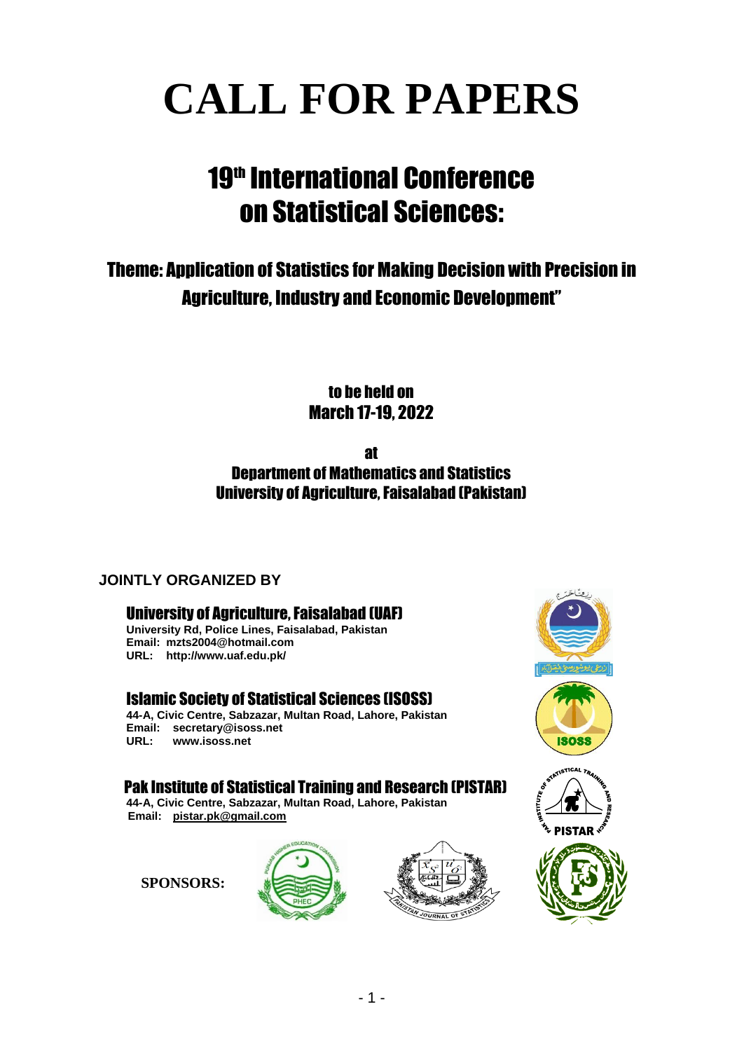# **CALL FOR PAPERS**

# 19<sup>th</sup> International Conference on Statistical Sciences:

# Theme: Application of Statistics for Making Decision with Precision in Agriculture, Industry and Economic Development"

to be held on March 17-19, 2022

# at Department of Mathematics and Statistics University of Agriculture, Faisalabad (Pakistan)

# **JOINTLY ORGANIZED BY**

# University of Agriculture, Faisalabad (UAF)

**University Rd, Police Lines, Faisalabad, Pakistan Email: [mzts2004@hotmail.com](mailto:mzts2004@hotmail.com) URL: http://www.uaf.edu.pk/**

## Islamic Society of Statistical Sciences (ISOSS)

**44-A, Civic Centre, Sabzazar, Multan Road, Lahore, Pakistan Email: [secretary@isoss.net](mailto:secretary@isoss.net) URL: [www.isoss.net](http://www.isoss.net/)**

## Pak Institute of Statistical Training and Research (PISTAR)

**44-A, Civic Centre, Sabzazar, Multan Road, Lahore, Pakistan Email: [pistar.pk@gmail.com](mailto:pistar.pk@gmail.com)**

**SPONSORS:**









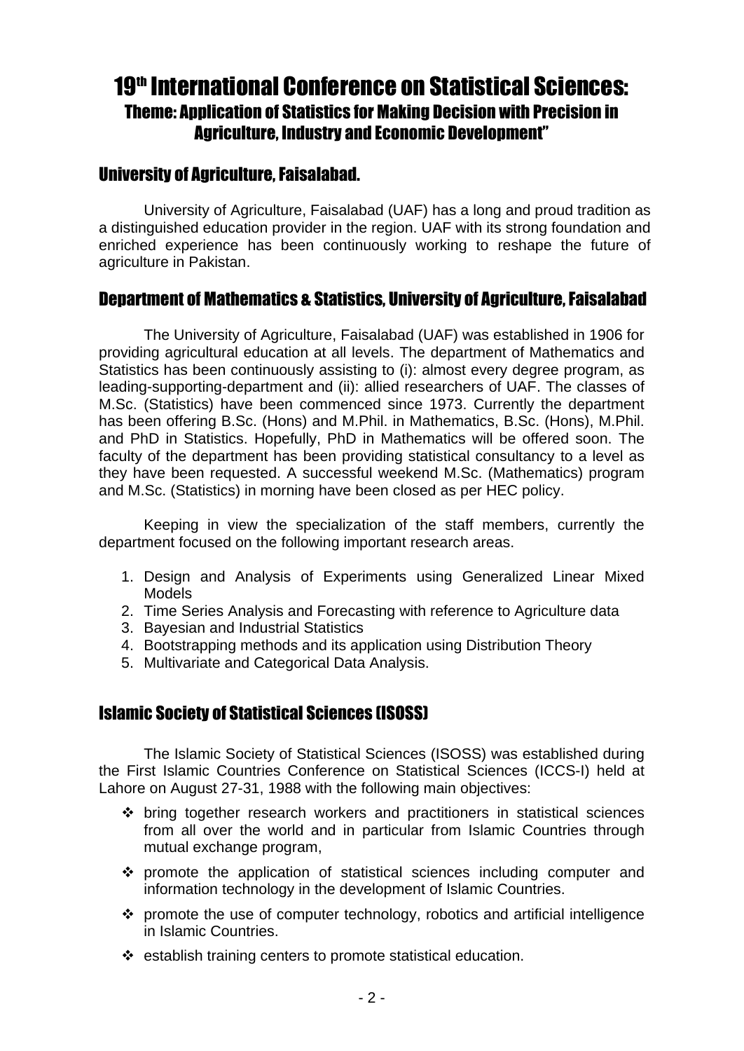# 19<sup>th</sup> International Conference on Statistical Sciences: Theme: Application of Statistics for Making Decision with Precision in Agriculture, Industry and Economic Development"

# University of Agriculture, Faisalabad.

University of Agriculture, Faisalabad (UAF) has a long and proud tradition as a distinguished education provider in the region. UAF with its strong foundation and enriched experience has been continuously working to reshape the future of agriculture in Pakistan.

# Department of Mathematics & Statistics, University of Agriculture,Faisalabad

The University of Agriculture, Faisalabad (UAF) was established in 1906 for providing agricultural education at all levels. The department of Mathematics and Statistics has been continuously assisting to (i): almost every degree program, as leading-supporting-department and (ii): allied researchers of UAF. The classes of M.Sc. (Statistics) have been commenced since 1973. Currently the department has been offering B.Sc. (Hons) and M.Phil. in Mathematics, B.Sc. (Hons), M.Phil. and PhD in Statistics. Hopefully, PhD in Mathematics will be offered soon. The faculty of the department has been providing statistical consultancy to a level as they have been requested. A successful weekend M.Sc. (Mathematics) program and M.Sc. (Statistics) in morning have been closed as per HEC policy.

Keeping in view the specialization of the staff members, currently the department focused on the following important research areas.

- 1. Design and Analysis of Experiments using Generalized Linear Mixed Models
- 2. Time Series Analysis and Forecasting with reference to Agriculture data
- 3. Bayesian and Industrial Statistics
- 4. Bootstrapping methods and its application using Distribution Theory
- 5. Multivariate and Categorical Data Analysis.

# Islamic Society of Statistical Sciences (ISOSS)

The Islamic Society of Statistical Sciences (ISOSS) was established during the First Islamic Countries Conference on Statistical Sciences (ICCS-I) held at Lahore on August 27-31, 1988 with the following main objectives:

- $\div$  bring together research workers and practitioners in statistical sciences from all over the world and in particular from Islamic Countries through mutual exchange program,
- promote the application of statistical sciences including computer and information technology in the development of Islamic Countries.
- $\div$  promote the use of computer technology, robotics and artificial intelligence in Islamic Countries.
- $\div$  establish training centers to promote statistical education.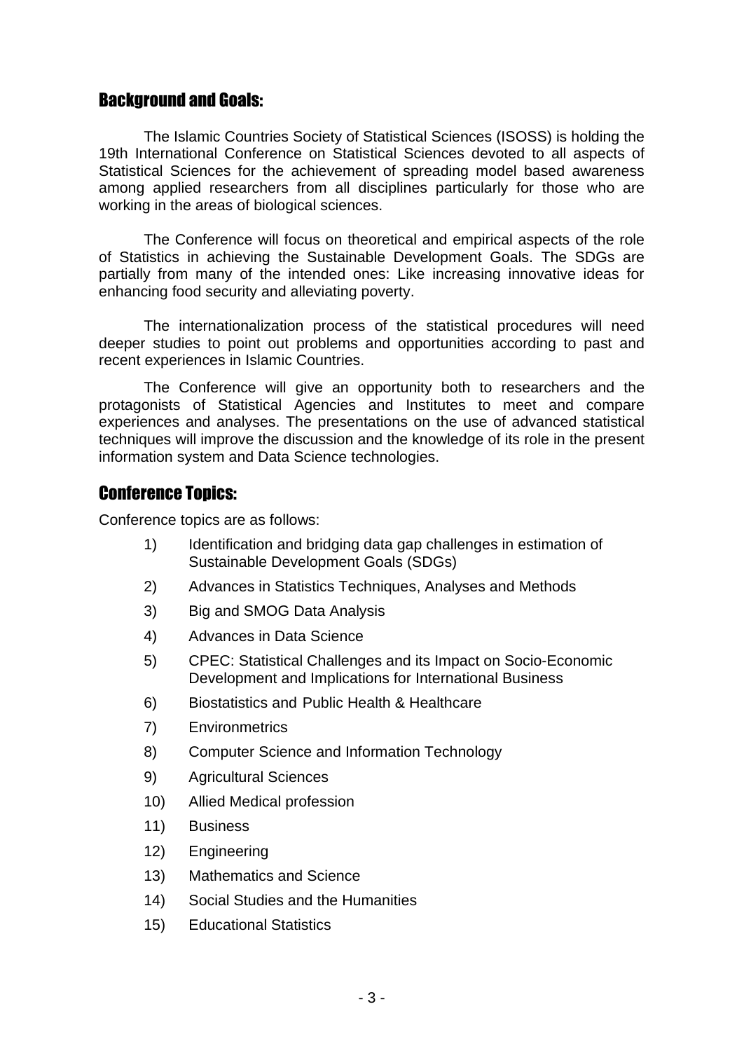# Background and Goals:

The Islamic Countries Society of Statistical Sciences (ISOSS) is holding the 19th International Conference on Statistical Sciences devoted to all aspects of Statistical Sciences for the achievement of spreading model based awareness among applied researchers from all disciplines particularly for those who are working in the areas of biological sciences.

The Conference will focus on theoretical and empirical aspects of the role of Statistics in achieving the Sustainable Development Goals. The SDGs are partially from many of the intended ones: Like increasing innovative ideas for enhancing food security and alleviating poverty.

The internationalization process of the statistical procedures will need deeper studies to point out problems and opportunities according to past and recent experiences in Islamic Countries.

The Conference will give an opportunity both to researchers and the protagonists of Statistical Agencies and Institutes to meet and compare experiences and analyses. The presentations on the use of advanced statistical techniques will improve the discussion and the knowledge of its role in the present information system and Data Science technologies.

# Conference Topics:

Conference topics are as follows:

- 1) Identification and bridging data gap challenges in estimation of Sustainable Development Goals (SDGs)
- 2) Advances in Statistics Techniques, Analyses and Methods
- 3) Big and SMOG Data Analysis
- 4) Advances in Data Science
- 5) CPEC: Statistical Challenges and its Impact on Socio-Economic Development and Implications for International Business
- 6) Biostatistics and Public Health & Healthcare
- 7) Environmetrics
- 8) Computer Science and Information Technology
- 9) Agricultural Sciences
- 10) Allied Medical profession
- 11) Business
- 12) Engineering
- 13) Mathematics and Science
- 14) Social Studies and the Humanities
- 15) Educational Statistics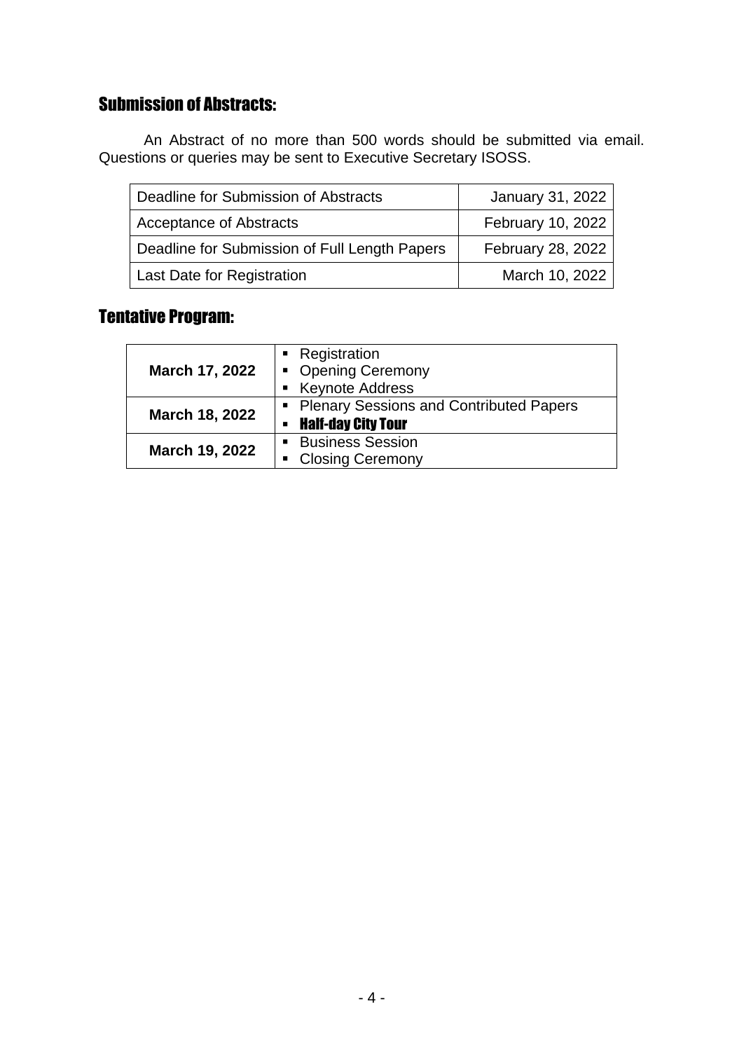# Submission of Abstracts:

An Abstract of no more than 500 words should be submitted via email. Questions or queries may be sent to Executive Secretary ISOSS.

| Deadline for Submission of Abstracts          | January 31, 2022  |
|-----------------------------------------------|-------------------|
| <b>Acceptance of Abstracts</b>                | February 10, 2022 |
| Deadline for Submission of Full Length Papers | February 28, 2022 |
| <b>Last Date for Registration</b>             | March 10, 2022    |

# Tentative Program:

|                | Registration                                   |  |
|----------------|------------------------------------------------|--|
| March 17, 2022 | • Opening Ceremony                             |  |
|                | ■ Keynote Address                              |  |
|                | <b>Plenary Sessions and Contributed Papers</b> |  |
| March 18, 2022 | <b>Half-day City Tour</b><br>٠                 |  |
| March 19, 2022 | <b>Business Session</b>                        |  |
|                | <b>Closing Ceremony</b>                        |  |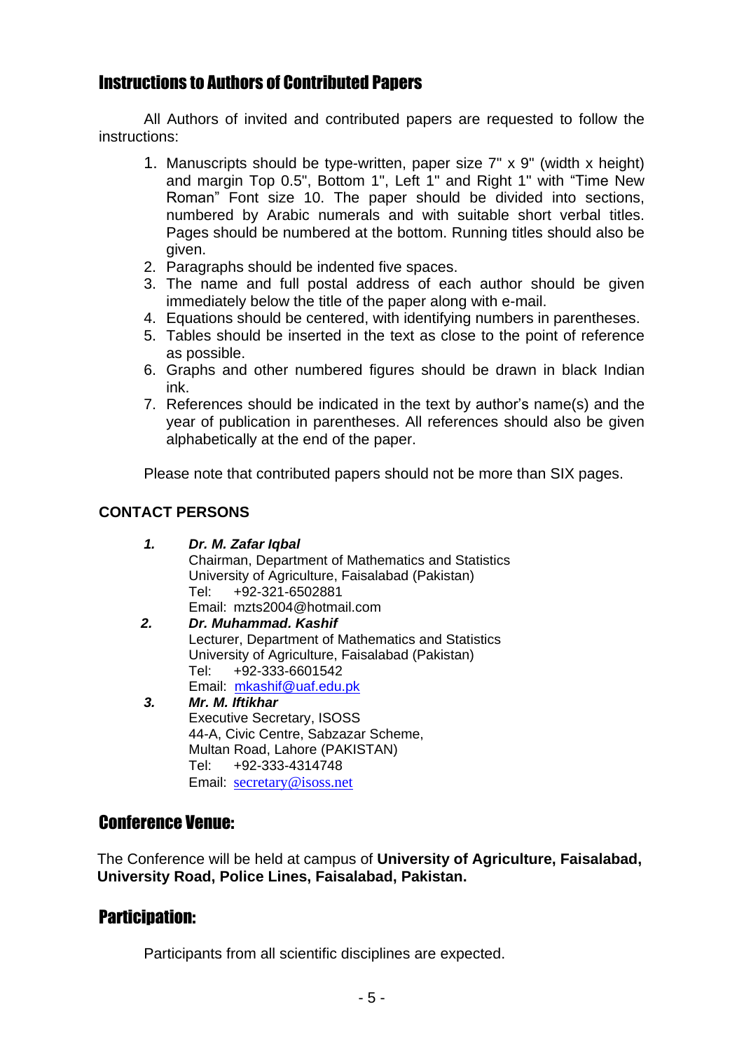# Instructions to Authors of Contributed Papers

All Authors of invited and contributed papers are requested to follow the instructions:

- 1. Manuscripts should be type-written, paper size 7" x 9" (width x height) and margin Top 0.5", Bottom 1", Left 1" and Right 1" with "Time New Roman" Font size 10. The paper should be divided into sections, numbered by Arabic numerals and with suitable short verbal titles. Pages should be numbered at the bottom. Running titles should also be given.
- 2. Paragraphs should be indented five spaces.
- 3. The name and full postal address of each author should be given immediately below the title of the paper along with e-mail.
- 4. Equations should be centered, with identifying numbers in parentheses.
- 5. Tables should be inserted in the text as close to the point of reference as possible.
- 6. Graphs and other numbered figures should be drawn in black Indian ink.
- 7. References should be indicated in the text by author's name(s) and the year of publication in parentheses. All references should also be given alphabetically at the end of the paper.

Please note that contributed papers should not be more than SIX pages.

## **CONTACT PERSONS**

- *1. Dr. M. Zafar Iqbal* Chairman, Department of Mathematics and Statistics University of Agriculture, Faisalabad (Pakistan) Tel: +92-321-6502881 Email: [mzts2004@hotmail.com](mailto:mzts2004@hotmail.com) *2. Dr. Muhammad. Kashif* Lecturer, Department of Mathematics and Statistics University of Agriculture, Faisalabad (Pakistan) Tel: +92-333-6601542 Email: [mkashif@uaf.edu.pk](mailto:mkashif@uaf.edu.pk) *3. Mr. M. Iftikhar* Executive Secretary, ISOSS 44-A, Civic Centre, Sabzazar Scheme,
	- Multan Road, Lahore (PAKISTAN) Tel: +92-333-4314748 Email: [secretary@isoss.net](mailto:secretary@isoss.net)

# Conference Venue:

The Conference will be held at campus of **University of Agriculture, Faisalabad, University Road, Police Lines, Faisalabad, Pakistan.**

# **Participation:**

Participants from all scientific disciplines are expected.